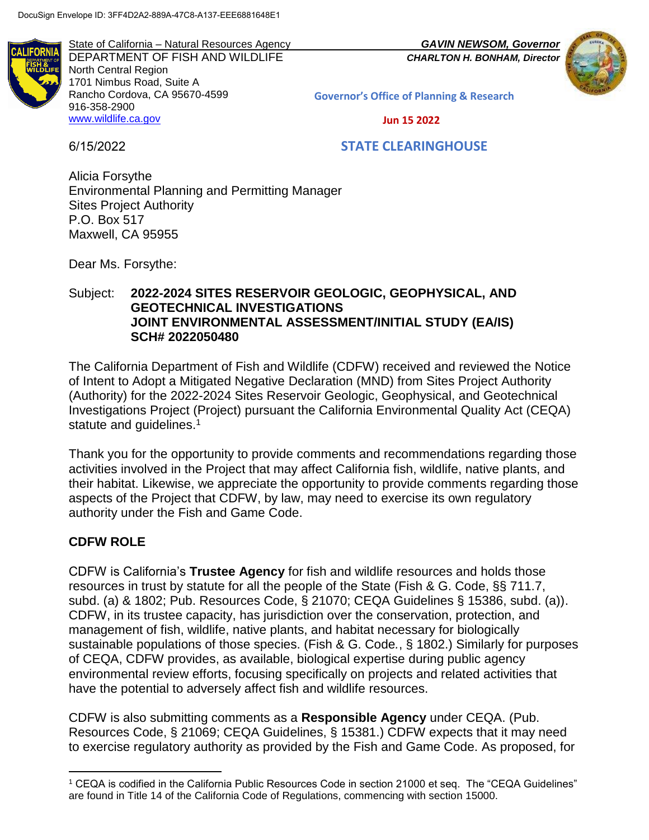DEPARTMENT OF FISH AND WILDLIFE *CHARLTON H. BONHAM, Director* North Central Region 1701 Nimbus Road, Suite A Rancho Cordova, CA 95670-4599 916-358-2900 [www.wildlife.ca.gov](http://www.wildlife.ca.gov/)

State of California – Natural Resources Agency *GAVIN NEWSOM, Governor*



**Governor's Office of Planning & Research**

 **Jun 15 2022**

6/15/2022

## **STATE CLEARINGHOUSE**

Alicia Forsythe Environmental Planning and Permitting Manager Sites Project Authority P.O. Box 517 Maxwell, CA 95955

Dear Ms. Forsythe:

### Subject: **2022-2024 SITES RESERVOIR GEOLOGIC, GEOPHYSICAL, AND GEOTECHNICAL INVESTIGATIONS JOINT ENVIRONMENTAL ASSESSMENT/INITIAL STUDY (EA/IS) SCH# 2022050480**

The California Department of Fish and Wildlife (CDFW) received and reviewed the Notice of Intent to Adopt a Mitigated Negative Declaration (MND) from Sites Project Authority (Authority) for the 2022-2024 Sites Reservoir Geologic, Geophysical, and Geotechnical Investigations Project (Project) pursuant the California Environmental Quality Act (CEQA) statute and guidelines.<sup>1</sup>

Thank you for the opportunity to provide comments and recommendations regarding those activities involved in the Project that may affect California fish, wildlife, native plants, and their habitat. Likewise, we appreciate the opportunity to provide comments regarding those aspects of the Project that CDFW, by law, may need to exercise its own regulatory authority under the Fish and Game Code.

# **CDFW ROLE**

l

CDFW is California's **Trustee Agency** for fish and wildlife resources and holds those resources in trust by statute for all the people of the State (Fish & G. Code, §§ 711.7, subd. (a) & 1802; Pub. Resources Code, § 21070; CEQA Guidelines § 15386, subd. (a)). CDFW, in its trustee capacity, has jurisdiction over the conservation, protection, and management of fish, wildlife, native plants, and habitat necessary for biologically sustainable populations of those species. (Fish & G. Code*.*, § 1802.) Similarly for purposes of CEQA, CDFW provides, as available, biological expertise during public agency environmental review efforts, focusing specifically on projects and related activities that have the potential to adversely affect fish and wildlife resources.

CDFW is also submitting comments as a **Responsible Agency** under CEQA. (Pub. Resources Code, § 21069; CEQA Guidelines, § 15381.) CDFW expects that it may need to exercise regulatory authority as provided by the Fish and Game Code. As proposed, for

<sup>1</sup> CEQA is codified in the California Public Resources Code in section 21000 et seq. The "CEQA Guidelines" are found in Title 14 of the California Code of Regulations, commencing with section 15000.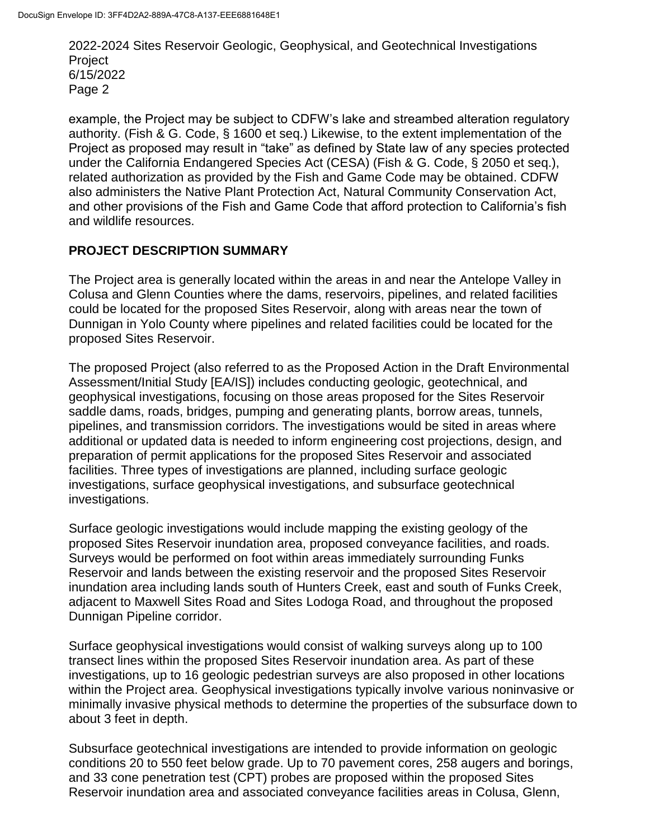example, the Project may be subject to CDFW's lake and streambed alteration regulatory authority. (Fish & G. Code, § 1600 et seq.) Likewise, to the extent implementation of the Project as proposed may result in "take" as defined by State law of any species protected under the California Endangered Species Act (CESA) (Fish & G. Code, § 2050 et seq.), related authorization as provided by the Fish and Game Code may be obtained. CDFW also administers the Native Plant Protection Act, Natural Community Conservation Act, and other provisions of the Fish and Game Code that afford protection to California's fish and wildlife resources.

## **PROJECT DESCRIPTION SUMMARY**

The Project area is generally located within the areas in and near the Antelope Valley in Colusa and Glenn Counties where the dams, reservoirs, pipelines, and related facilities could be located for the proposed Sites Reservoir, along with areas near the town of Dunnigan in Yolo County where pipelines and related facilities could be located for the proposed Sites Reservoir.

The proposed Project (also referred to as the Proposed Action in the Draft Environmental Assessment/Initial Study [EA/IS]) includes conducting geologic, geotechnical, and geophysical investigations, focusing on those areas proposed for the Sites Reservoir saddle dams, roads, bridges, pumping and generating plants, borrow areas, tunnels, pipelines, and transmission corridors. The investigations would be sited in areas where additional or updated data is needed to inform engineering cost projections, design, and preparation of permit applications for the proposed Sites Reservoir and associated facilities. Three types of investigations are planned, including surface geologic investigations, surface geophysical investigations, and subsurface geotechnical investigations.

Surface geologic investigations would include mapping the existing geology of the proposed Sites Reservoir inundation area, proposed conveyance facilities, and roads. Surveys would be performed on foot within areas immediately surrounding Funks Reservoir and lands between the existing reservoir and the proposed Sites Reservoir inundation area including lands south of Hunters Creek, east and south of Funks Creek, adjacent to Maxwell Sites Road and Sites Lodoga Road, and throughout the proposed Dunnigan Pipeline corridor.

Surface geophysical investigations would consist of walking surveys along up to 100 transect lines within the proposed Sites Reservoir inundation area. As part of these investigations, up to 16 geologic pedestrian surveys are also proposed in other locations within the Project area. Geophysical investigations typically involve various noninvasive or minimally invasive physical methods to determine the properties of the subsurface down to about 3 feet in depth.

Subsurface geotechnical investigations are intended to provide information on geologic conditions 20 to 550 feet below grade. Up to 70 pavement cores, 258 augers and borings, and 33 cone penetration test (CPT) probes are proposed within the proposed Sites Reservoir inundation area and associated conveyance facilities areas in Colusa, Glenn,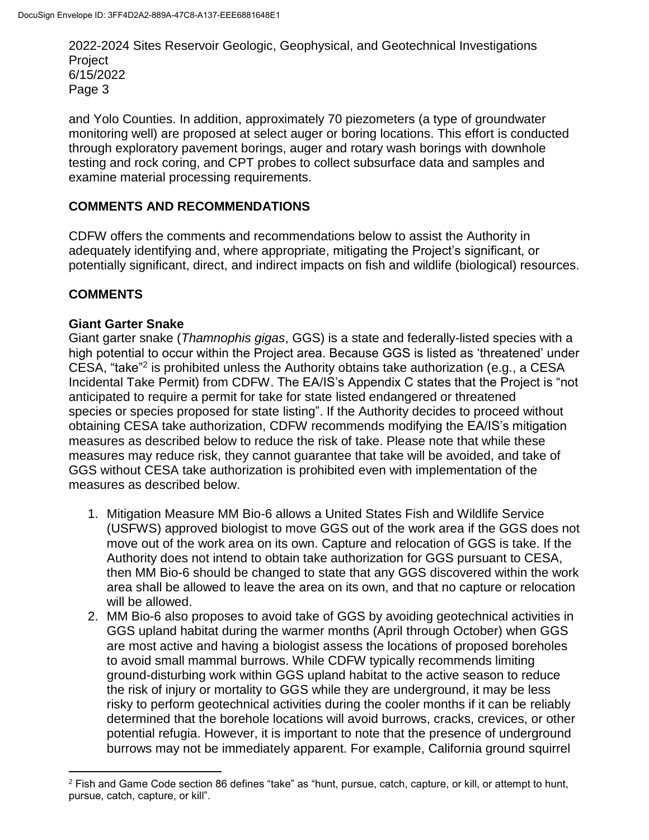and Yolo Counties. In addition, approximately 70 piezometers (a type of groundwater monitoring well) are proposed at select auger or boring locations. This effort is conducted through exploratory pavement borings, auger and rotary wash borings with downhole testing and rock coring, and CPT probes to collect subsurface data and samples and examine material processing requirements.

## **COMMENTS AND RECOMMENDATIONS**

CDFW offers the comments and recommendations below to assist the Authority in adequately identifying and, where appropriate, mitigating the Project's significant, or potentially significant, direct, and indirect impacts on fish and wildlife (biological) resources.

## **COMMENTS**

l

#### **Giant Garter Snake**

Giant garter snake (*Thamnophis gigas*, GGS) is a state and federally-listed species with a high potential to occur within the Project area. Because GGS is listed as 'threatened' under CESA, "take"<sup>2</sup> is prohibited unless the Authority obtains take authorization (e.g., a CESA Incidental Take Permit) from CDFW. The EA/IS's Appendix C states that the Project is "not anticipated to require a permit for take for state listed endangered or threatened species or species proposed for state listing". If the Authority decides to proceed without obtaining CESA take authorization, CDFW recommends modifying the EA/IS's mitigation measures as described below to reduce the risk of take. Please note that while these measures may reduce risk, they cannot guarantee that take will be avoided, and take of GGS without CESA take authorization is prohibited even with implementation of the measures as described below.

- 1. Mitigation Measure MM Bio-6 allows a United States Fish and Wildlife Service (USFWS) approved biologist to move GGS out of the work area if the GGS does not move out of the work area on its own. Capture and relocation of GGS is take. If the Authority does not intend to obtain take authorization for GGS pursuant to CESA, then MM Bio-6 should be changed to state that any GGS discovered within the work area shall be allowed to leave the area on its own, and that no capture or relocation will be allowed.
- 2. MM Bio-6 also proposes to avoid take of GGS by avoiding geotechnical activities in GGS upland habitat during the warmer months (April through October) when GGS are most active and having a biologist assess the locations of proposed boreholes to avoid small mammal burrows. While CDFW typically recommends limiting ground-disturbing work within GGS upland habitat to the active season to reduce the risk of injury or mortality to GGS while they are underground, it may be less risky to perform geotechnical activities during the cooler months if it can be reliably determined that the borehole locations will avoid burrows, cracks, crevices, or other potential refugia. However, it is important to note that the presence of underground burrows may not be immediately apparent. For example, California ground squirrel

<sup>2</sup> Fish and Game Code section 86 defines "take" as "hunt, pursue, catch, capture, or kill, or attempt to hunt, pursue, catch, capture, or kill".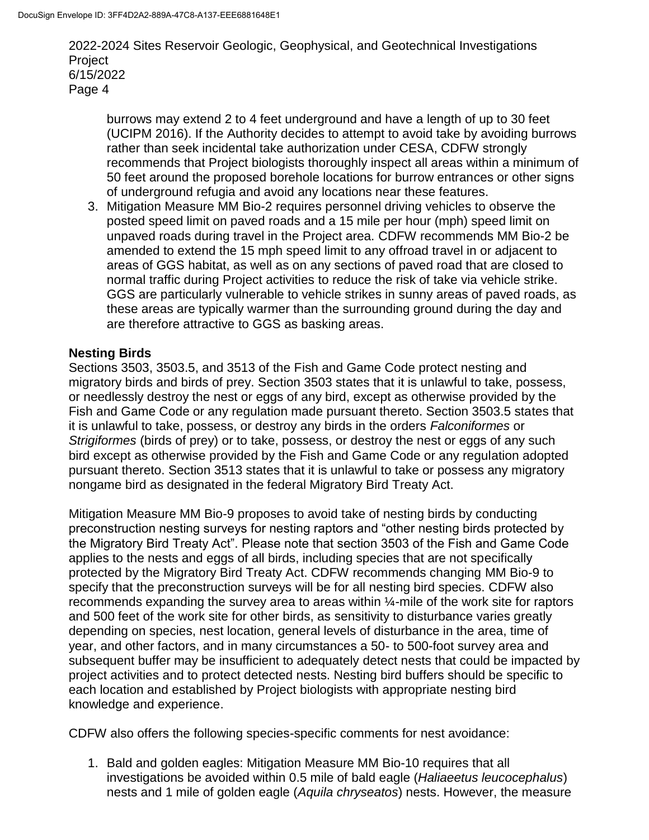burrows may extend 2 to 4 feet underground and have a length of up to 30 feet (UCIPM 2016). If the Authority decides to attempt to avoid take by avoiding burrows rather than seek incidental take authorization under CESA, CDFW strongly recommends that Project biologists thoroughly inspect all areas within a minimum of 50 feet around the proposed borehole locations for burrow entrances or other signs of underground refugia and avoid any locations near these features.

3. Mitigation Measure MM Bio-2 requires personnel driving vehicles to observe the posted speed limit on paved roads and a 15 mile per hour (mph) speed limit on unpaved roads during travel in the Project area. CDFW recommends MM Bio-2 be amended to extend the 15 mph speed limit to any offroad travel in or adjacent to areas of GGS habitat, as well as on any sections of paved road that are closed to normal traffic during Project activities to reduce the risk of take via vehicle strike. GGS are particularly vulnerable to vehicle strikes in sunny areas of paved roads, as these areas are typically warmer than the surrounding ground during the day and are therefore attractive to GGS as basking areas.

#### **Nesting Birds**

Sections 3503, 3503.5, and 3513 of the Fish and Game Code protect nesting and migratory birds and birds of prey. Section 3503 states that it is unlawful to take, possess, or needlessly destroy the nest or eggs of any bird, except as otherwise provided by the Fish and Game Code or any regulation made pursuant thereto. Section 3503.5 states that it is unlawful to take, possess, or destroy any birds in the orders *Falconiformes* or *Strigiformes* (birds of prey) or to take, possess, or destroy the nest or eggs of any such bird except as otherwise provided by the Fish and Game Code or any regulation adopted pursuant thereto. Section 3513 states that it is unlawful to take or possess any migratory nongame bird as designated in the federal Migratory Bird Treaty Act.

Mitigation Measure MM Bio-9 proposes to avoid take of nesting birds by conducting preconstruction nesting surveys for nesting raptors and "other nesting birds protected by the Migratory Bird Treaty Act". Please note that section 3503 of the Fish and Game Code applies to the nests and eggs of all birds, including species that are not specifically protected by the Migratory Bird Treaty Act. CDFW recommends changing MM Bio-9 to specify that the preconstruction surveys will be for all nesting bird species. CDFW also recommends expanding the survey area to areas within  $\frac{1}{4}$ -mile of the work site for raptors and 500 feet of the work site for other birds, as sensitivity to disturbance varies greatly depending on species, nest location, general levels of disturbance in the area, time of year, and other factors, and in many circumstances a 50- to 500-foot survey area and subsequent buffer may be insufficient to adequately detect nests that could be impacted by project activities and to protect detected nests. Nesting bird buffers should be specific to each location and established by Project biologists with appropriate nesting bird knowledge and experience.

CDFW also offers the following species-specific comments for nest avoidance:

1. Bald and golden eagles: Mitigation Measure MM Bio-10 requires that all investigations be avoided within 0.5 mile of bald eagle (*Haliaeetus leucocephalus*) nests and 1 mile of golden eagle (*Aquila chryseatos*) nests. However, the measure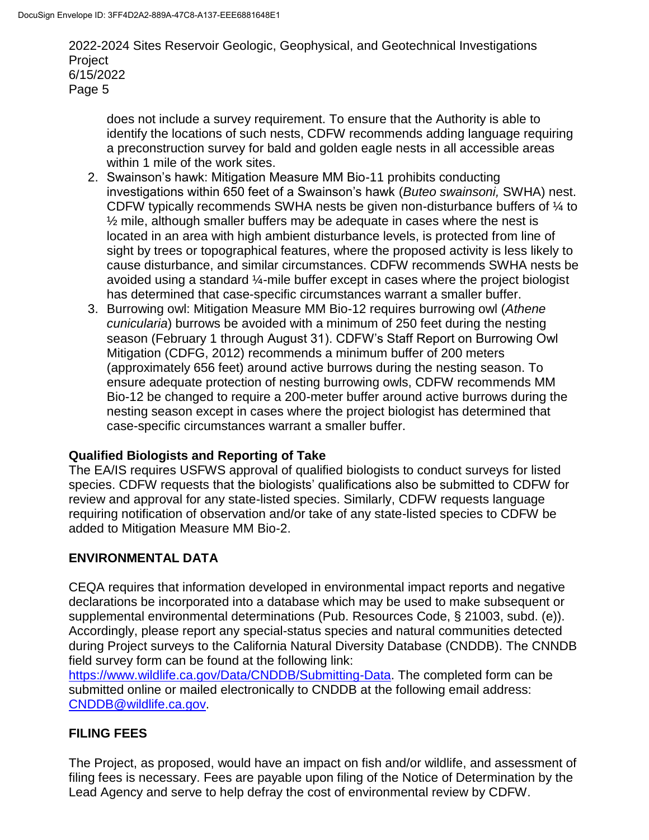does not include a survey requirement. To ensure that the Authority is able to identify the locations of such nests, CDFW recommends adding language requiring a preconstruction survey for bald and golden eagle nests in all accessible areas within 1 mile of the work sites.

- 2. Swainson's hawk: Mitigation Measure MM Bio-11 prohibits conducting investigations within 650 feet of a Swainson's hawk (*Buteo swainsoni,* SWHA) nest. CDFW typically recommends SWHA nests be given non-disturbance buffers of ¼ to  $\frac{1}{2}$  mile, although smaller buffers may be adequate in cases where the nest is located in an area with high ambient disturbance levels, is protected from line of sight by trees or topographical features, where the proposed activity is less likely to cause disturbance, and similar circumstances. CDFW recommends SWHA nests be avoided using a standard ¼-mile buffer except in cases where the project biologist has determined that case-specific circumstances warrant a smaller buffer.
- 3. Burrowing owl: Mitigation Measure MM Bio-12 requires burrowing owl (*Athene cunicularia*) burrows be avoided with a minimum of 250 feet during the nesting season (February 1 through August 31). CDFW's Staff Report on Burrowing Owl Mitigation (CDFG, 2012) recommends a minimum buffer of 200 meters (approximately 656 feet) around active burrows during the nesting season. To ensure adequate protection of nesting burrowing owls, CDFW recommends MM Bio-12 be changed to require a 200-meter buffer around active burrows during the nesting season except in cases where the project biologist has determined that case-specific circumstances warrant a smaller buffer.

# **Qualified Biologists and Reporting of Take**

The EA/IS requires USFWS approval of qualified biologists to conduct surveys for listed species. CDFW requests that the biologists' qualifications also be submitted to CDFW for review and approval for any state-listed species. Similarly, CDFW requests language requiring notification of observation and/or take of any state-listed species to CDFW be added to Mitigation Measure MM Bio-2.

# **ENVIRONMENTAL DATA**

CEQA requires that information developed in environmental impact reports and negative declarations be incorporated into a database which may be used to make subsequent or supplemental environmental determinations (Pub. Resources Code, § 21003, subd. (e)). Accordingly, please report any special-status species and natural communities detected during Project surveys to the California Natural Diversity Database (CNDDB). The CNNDB field survey form can be found at the following link:

https://www.wildlife.ca.gov/Data/CNDDB/Submitting-Data. The completed form can be submitted online or mailed electronically to CNDDB at the following email address: [CNDDB@wildlife.ca.gov.](mailto:cnddb@dfg.ca.gov)

# **FILING FEES**

The Project, as proposed, would have an impact on fish and/or wildlife, and assessment of filing fees is necessary. Fees are payable upon filing of the Notice of Determination by the Lead Agency and serve to help defray the cost of environmental review by CDFW.